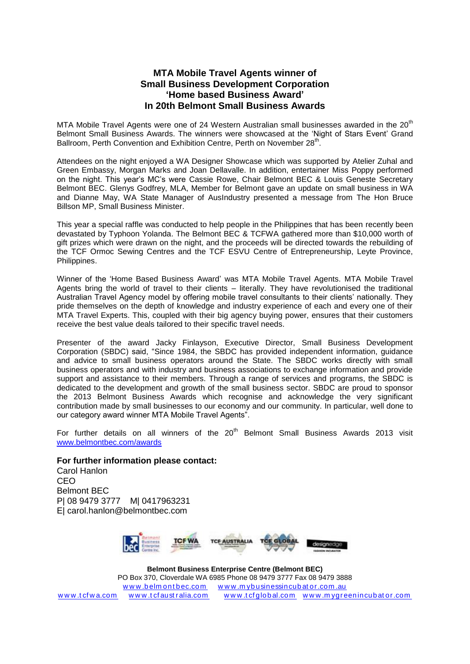## **MTA Mobile Travel Agents winner of Small Business Development Corporation 'Home based Business Award' In 20th Belmont Small Business Awards**

MTA Mobile Travel Agents were one of 24 Western Australian small businesses awarded in the 20<sup>th</sup> Belmont Small Business Awards. The winners were showcased at the 'Night of Stars Event' Grand Ballroom, Perth Convention and Exhibition Centre, Perth on November 28<sup>th</sup>.

Attendees on the night enjoyed a WA Designer Showcase which was supported by Atelier Zuhal and Green Embassy, Morgan Marks and Joan Dellavalle. In addition, entertainer Miss Poppy performed on the night. This year's MC's were Cassie Rowe, Chair Belmont BEC & Louis Geneste Secretary Belmont BEC. Glenys Godfrey, MLA, Member for Belmont gave an update on small business in WA and Dianne May, WA State Manager of AusIndustry presented a message from The Hon Bruce Billson MP, Small Business Minister.

This year a special raffle was conducted to help people in the Philippines that has been recently been devastated by Typhoon Yolanda. The Belmont BEC & TCFWA gathered more than \$10,000 worth of gift prizes which were drawn on the night, and the proceeds will be directed towards the rebuilding of the TCF Ormoc Sewing Centres and the TCF ESVU Centre of Entrepreneurship, Leyte Province, Philippines.

Winner of the 'Home Based Business Award' was MTA Mobile Travel Agents. MTA Mobile Travel Agents bring the world of travel to their clients – literally. They have revolutionised the traditional Australian Travel Agency model by offering mobile travel consultants to their clients' nationally. They pride themselves on the depth of knowledge and industry experience of each and every one of their MTA Travel Experts. This, coupled with their big agency buying power, ensures that their customers receive the best value deals tailored to their specific travel needs.

Presenter of the award Jacky Finlayson, Executive Director, Small Business Development Corporation (SBDC) said, "Since 1984, the SBDC has provided independent information, guidance and advice to small business operators around the State. The SBDC works directly with small business operators and with industry and business associations to exchange information and provide support and assistance to their members. Through a range of services and programs, the SBDC is dedicated to the development and growth of the small business sector. SBDC are proud to sponsor the 2013 Belmont Business Awards which recognise and acknowledge the very significant contribution made by small businesses to our economy and our community. In particular, well done to our category award winner MTA Mobile Travel Agents".

For further details on all winners of the  $20<sup>th</sup>$  Belmont Small Business Awards 2013 visit [www.belmontbec.com/awards](http://www.belmontbec.com/awards)

## **For further information please contact:**

Carol Hanlon CEO Belmont BEC P| 08 9479 3777 M| 0417963231 E| carol.hanlon@belmontbec.com



**Belmont Business Enterprise Centre (Belmont BEC)** PO Box 370, Cloverdale WA 6985 Phone 08 9479 3777 Fax 08 9479 3888 www.belmontbec.com www.mybusinessincubator.com.au [w w w .t cf w a.com](http://www.tcfwa.com/) www.t cf aust ralia.com [w w w .t cf glob al.com](http://www.tcfglobal.com/) w w w .m y green incubat or.com